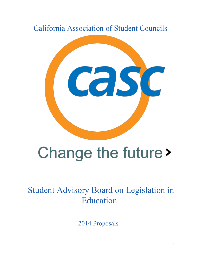California Association of Student Councils



# Change the future >

Student Advisory Board on Legislation in Education

2014 Proposals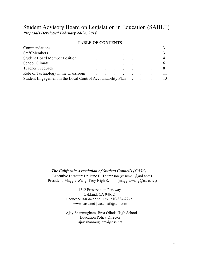# Student Advisory Board on Legislation in Education (SABLE) *Proposals Developed February 2426, 2014*

#### **TABLE OF CONTENTS**

|  |  |  |  | Commendations.<br>Staff Members 3<br>Student Board Member Position.<br>Teacher Feedback 8<br>Role of Technology in the Classroom.<br>Student Engagement in the Local Control Accountability Plan 19 |
|--|--|--|--|-----------------------------------------------------------------------------------------------------------------------------------------------------------------------------------------------------|

#### *The California Association of Student Councils (CASC)*

Executive Director: Dr. June E. Thompson (cascmail@aol.com) President: Maggie Wang, Troy High School (maggie.wang@casc.net)

> 1212 Preservation Parkway Oakland, CA 94612 Phone: 510-834-2272 | Fax: 510-834-2275 www.casc.net | cascmail@aol.com

Ajay Shanmugham, Brea Olinda High School Education Policy Director ajay.shanmugham@casc.net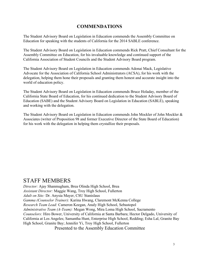# **COMMENDATIONS**

The Student Advisory Board on Legislation in Education commends the Assembly Committee on Education for speaking with the students of California for the 2014 SABLE conference.

The Student Advisory Board on Legislation in Education commends Rick Pratt, Chief Consultant for the Assembly Committee on Education, for his invaluable knowledge and continued support of the California Association of Student Councils and the Student Advisory Board program.

The Student Advisory Board on Legislation in Education commends Adonai Mack, Legislative Advocate for the Association of California School Administrators (ACSA), for his work with the delegation, helping them hone their proposals and granting them honest and accurate insight into the world of education policy.

The Student Advisory Board on Legislation in Education commends Bruce Holaday, member of the California State Board of Education, for his continued dedication to the Student Advisory Board of Education (SABE) and the Student Advisory Board on Legislation in Education (SABLE), speaking and working with the delegation.

The Student Advisory Board on Legislation in Education commends John Mockler of John Mockler & Associates (writer of Proposition 98 and former Executive Director of the State Board of Education) for his work with the delegation in helping them crystallize their proposals.

# STAFF MEMBERS

*Director:* Ajay Shanmugham, Brea Olinda High School, Brea *Assistant Director:* Maggie Wang, Troy High School, Fullerton *Adult on Site:* Dr. Anysia Mayer, CSU Stanislaus *Gamma (Counselor Trainer):* Karina Hwang, Claremont McKenna College *Research Team Lead:* Cameron Keegan, Analy High School, Sebastopol *Administrative Team (A-Team):* Megan Wong, Mira Loma High School, Sacramento *Counselors:* Hiro Bower, University of California at Santa Barbara; Hector Delgado, University of California at Los Angeles; Samantha Hunt, Enterprise High School, Redding; Esha Lal, Granite Bay High School, Granite Bay; Jennifer Yi, Troy High School, Fullerton Presented to the Assembly Education Committee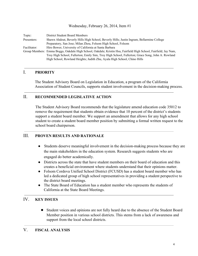#### Wednesday, February 26, 2014, Item #1

| Topic:       | District Student Board Members                                                                                   |
|--------------|------------------------------------------------------------------------------------------------------------------|
| Presenters:  | Shawn Ahdout, Beverly Hills High School, Beverly Hills; Justin Ingram, Bellarmine College                        |
|              | Preparatory, San Jose; Milan Zhou, Folsom High School, Folsom                                                    |
| Facilitator: | Hiro Bower, University of California at Santa Barbara                                                            |
|              | Group Members: Emma Boggs, Oakdale High School, Oakdale; Kristin Hsu, Fairfield High School, Fairfield; Jay Nam, |
|              | Troy High School, Fullerton; Emily Sim, Troy High School, Fullerton; Grace Song, John A. Rowland                 |
|              | High School, Rowland Heights; Judith Zhu, Ayala High School, Chino Hills                                         |

#### I. **PRIORITY**

The Student Advisory Board on Legislation in Education, a program of the California Association of Student Councils, supports student involvement in the decision-making process.

#### II. **RECOMMENDED LEGISLATIVE ACTION**

The Student Advisory Board recommends that the legislature amend education code 35012 to remove the requirement that students obtain evidence that 10 percent of the district's students support a student board member. We support an amendment that allows for any high school student to create a student board member position by submitting a formal written request to the school board chairperson.

### III. **PROVEN RESULTS AND RATIONALE**

- Students deserve meaningful involvement in the decision-making process because they are the main stakeholders in the education system. Research suggests students who are engaged do better academically.
- Districts across the state that have student members on their board of education and this creates a beneficial environment where students understand that their opinions matter.
- Folsom Cordova Unified School District (FCUSD) has a student board member who has led a dedicated group of high school representatives in providing a student perspective to the district board meetings.
- The State Board of Education has a student member who represents the students of California at the State Board Meetings.

#### IV. **KEY ISSUES**

● Student voices and opinions are not fully heard due to the absence of the Student Board Member position in various school districts. This stems from a lack of awareness and support from the local school districts.

#### V. **FISCAL ANALYSIS**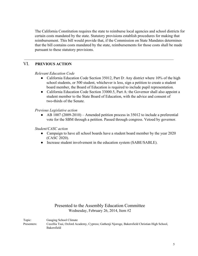The California Constitution requires the state to reimburse local agencies and school districts for certain costs mandated by the state. Statutory provisions establish procedures for making that reimbursement. This bill would provide that, if the Commission on State Mandates determines that the bill contains costs mandated by the state, reimbursements for those costs shall be made pursuant to these statutory provisions.

# VI. **PREVIOUS ACTION**

#### *Relevant Education Code*

- California Education Code Section 35012, Part D: Any district where 10% of the high school students, or 500 student, whichever is less, sign a petition to create a student board member, the Board of Education is required to include pupil representation.
- California Education Code Section 33000.5, Part A: the Governor shall also appoint a student member to the State Board of Education, with the advice and consent of two-thirds of the Senate.

# *Previous Legislative action*

 $\bullet$  AB 1007 (2009-2010) – Amended petition process in 35012 to include a preferential vote for the SBM through a petition. Passed through congress. Vetoed by governor.

#### *Student/CASC action*

- Campaign to have all school boards have a student board member by the year 2020 (CASC 2020).
- Increase student involvement in the education system (SABE/SABLE).

# Presented to the Assembly Education Committee Wednesday, February 26, 2014, Item #2

Topic: Gauging School Climate Presenters: Cecellia Tsui, Oxford Academy, Cypress; Gathenji Njoroge, Bakersfield Christian High School, Bakersfield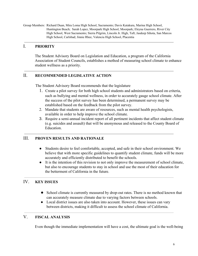Group Members: Richard Duan, Mira Loma High School, Sacramento; Davis Katakura, Marina High School, Huntington Beach; Sarah Lopez, Moorpark High School, Moorpark; Eleyna Guerrero, River City High School, West Sacramento; Sierra Pilgrim, Lincoln Jr. High, Taft; Jasdeep Sihota, San Marcos High School, Carlsbad; Jinnie Rhee, Valencia High School, Placentia

# I. **PRIORITY**

The Student Advisory Board on Legislation and Education, a program of the California Association of Student Councils, establishes a method of measuring school climate to enhance student wellness as a priority.

#### II. **RECOMMENDED LEGISLATIVE ACTION**

The Student Advisory Board recommends that the legislature

- 1. Create a pilot survey for both high school students and administrators based on criteria, such as bullying and mental wellness, in order to accurately gauge school climate. After the success of the pilot survey has been determined, a permanent survey may be established based on the feedback from the pilot survey.
- 2. Mandate that students are aware of resources, such as mental health psychologists, available in order to help improve the school climate.
- 3. Require a semi-annual incident report of all pertinent incidents that affect student climate (e.g. suicides and assault) that will be anonymous and released to the County Board of Education.

# III. **PROVEN RESULTS AND RATIONALE**

- Students desire to feel comfortable, accepted, and safe in their school environment. We believe that with more specific guidelines to quantify student climate, funds will be more accurately and efficiently distributed to benefit the schools.
- It is the intention of this revision to not only improve the measurement of school climate, but also to encourage students to stay in school and use the most of their education for the betterment of California in the future.

# IV. **KEY ISSUES**

- School climate is currently measured by drop-out rates. There is no method known that can accurately measure climate due to varying factors between schools.
- Local district issues are also taken into account. However, these issues can vary between districts, making it difficult to assess the school climate of California.

# V. **FISCAL ANALYSIS**

Even though the immediate implementation will have a cost, the ultimate goal is the well-being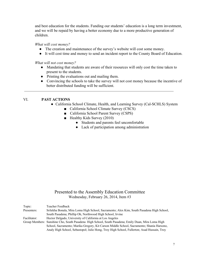and best education for the students. Funding our students' education is a long term investment, and we will be repaid by having a better economy due to a more productive generation of children.

*What will cost money?*

- The creation and maintenance of the survey's website will cost some money.
- It will cost time and money to send an incident report to the County Board of Education.

*What will not cost money?*

- Mandating that students are aware of their resources will only cost the time taken to present to the students.
- Printing the evaluations out and mailing them.
- Convincing the schools to take the survey will not cost money because the incentive of better distributed funding will be sufficient.

#### VI. **PAST ACTIONS**

- California School Climate, Health, and Learning Survey (Cal-SCHLS) System
	- California School Climate Survey (CSCS)
	- California School Parent Survey (CSPS)
	- Healthy Kids Survey (2010)
		- **●** Students and parents feel uncomfortable
		- **●** Lack of participation among administration

# Presented to the Assembly Education Committee Wednesday, February 26, 2014, Item #3

| Topic:       | Teacher Feedback                                                                                    |
|--------------|-----------------------------------------------------------------------------------------------------|
| Presenters:  | Srilekha Bonala, Mira Loma High School, Sacramento; Alex Kim, South Pasadena High School,           |
|              | South Pasadena; Phillip Oh, Northwood High School, Irvine                                           |
| Facilitator: | Hector Delgado, University of California at Los Angeles                                             |
|              | Group Members: Sunshine Cho, South Pasadena High School, South Pasadena; Emily Duan, Mira Loma High |
|              | School, Sacramento; Marika Gregory, Kit Carson Middle School, Sacramento; Shania Harsono,           |
|              | Analy High School, Sebastopol; Julie Hong, Troy High School, Fullerton; Asad Hussain, Troy          |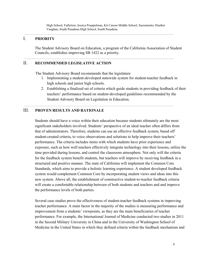# I. **PRIORITY**

The Student Advisory Board on Education, a program of the California Association of Student Councils, establishes improving SB 1422 as a priority.

#### II. **RECOMMENDED LEGISLATIVE ACTION**

The Student Advisory Board recommends that the legislature

- 1. Implementing a student-developed statewide system for student-teacher feedback in high schools and junior high schools.
- 2. Establishing a finalized set of criteria which guide students in providing feedback of their teachers' performance based on student-developed guidelines recommended by the Student Advisory Board on Legislation in Education.

# III. **PROVEN RESULTS AND RATIONALE**

Students should have a voice within their education because students ultimately are the most significant stakeholders involved. Students' perspective of an ideal teacher often differs from that of administrators. Therefore, students can use an effective feedback system, based off student-created criteria, to voice observations and solutions to help improve their teachers' performance. The criteria includes items with which students have prior experience and exposure, such as how well teachers effectively integrate technology into their lessons, utilize the time provided during lessons, and control the classroom atmosphere. Not only will the criteria for the feedback system benefit students, but teachers will improve by receiving feedback in a structured and positive manner. The state of California will implement the Common Core Standards, which aims to provide a holistic learning experience. A student developed feedback system would complement Common Core by incorporating student views and ideas into this new system. Above all, the establishment of constructive student-to-teacher feedback criteria will create a comfortable relationship between of both students and teachers and and improve the performance levels of both parties.

Several case studies prove the effectiveness of student-teacher feedback systems in improving teacher performance. A main factor in the majority of the studies is measuring performance and improvement from a students' viewpoints, as they are the main beneficiaries of teacher performance. For example, the International Journal of Medicine conducted two studies in 2011 in the Second Military University in China and in the University of Washington School of Medicine in the United States in which they defined criteria within the feedback mechanism and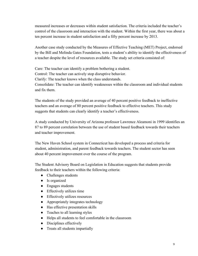measured increases or decreases within student satisfaction. The criteria included the teacher's control of the classroom and interaction with the student. Within the first year, there was about a ten percent increase in student satisfaction and a fifty percent increase by 2013.

Another case study conducted by the Measures of Effective Teaching (MET) Project, endorsed by the Bill and Melinda Gates Foundation, tests a student's ability to identify the effectiveness of a teacher despite the level of resources available. The study set criteria consisted of:

Care: The teacher can identify a problem bothering a student.

Control: The teacher can actively stop disruptive behavior.

Clarify: The teacher knows when the class understands.

Consolidate: The teacher can identify weaknesses within the classroom and individual students and fix them.

The students of the study provided an average of 40 percent positive feedback to ineffective teachers and an average of 80 percent positive feedback to effective teachers. This study suggests that students can clearly identify a teacher's effectiveness.

A study conducted by University of Arizona professor Lawrence Aleamoni in 1999 identifies an 87 to 89 percent correlation between the use of student based feedback towards their teachers and teacher improvement.

The New Haven School system in Connecticut has developed a process and criteria for student, administration, and parent feedback towards teachers. The student sector has seen about 40 percent improvement over the course of the program.

The Student Advisory Board on Legislation in Education suggests that students provide feedback to their teachers within the following criteria:

- Challenges students
- Is organized
- Engages students
- Effectively utilizes time
- Effectively utilizes resources
- Appropriately integrates technology
- Has effective presentation skills
- Teaches to all learning styles
- Helps all students to feel comfortable in the classroom
- Disciplines effectively
- Treats all students impartially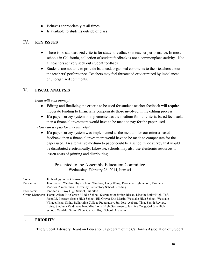- Behaves appropriately at all times
- Is available to students outside of class

# IV. **KEY ISSUES**

- There is no standardized criteria for student feedback on teacher performance. In most schools in California, collection of student feedback is not a commonplace activity. Not all teachers actively seek out student feedback.
- Students are not able to provide balanced, organized comments to their teachers about the teachers' performance. Teachers may feel threatened or victimized by imbalanced or unorganized comments.

# V. **FISCAL ANALYSIS**

*What will cost money?*

- Editing and finalizing the criteria to be used for student-teacher feedback will require moderate funding to financially compensate those involved in the editing process.
- If a paper survey system is implemented as the medium for our criteria-based feedback, then a financial investment would have to be made to pay for the paper used.

*How can we pay for it creatively?*

• If a paper survey system was implemented as the medium for our criteria-based feedback, then a financial investment would have to be made to compensate for the paper used. An alternative medium to paper could be a school wide survey that would be distributed electronically. Likewise, schools may also use electronic resources to lessen costs of printing and distributing.

# Presented to the Assembly Education Committee Wednesday, February 26, 2014, Item #4

| Topic:       | Technology in the Classroom                                                                                  |
|--------------|--------------------------------------------------------------------------------------------------------------|
| Presenters:  | Tori Sheber, Windsor High School, Windsor; Jenny Wang, Pasadena High School, Pasadena;                       |
|              | Madison Zimmerman, University Preparatory School, Redding                                                    |
| Facilitator: | Jennifer Yi, Troy High School, Fullerton                                                                     |
|              | Group Members: Tianna Aiken, Kit Carson Middle School, Sacramento; Jordan Blaska, Lincoln Junior High, Taft; |
|              | Jason Li, Pleasant Grove High School, Elk Grove; Erik Martin, Westlake High School, Westlake                 |
|              | Village; Ishan Sinha, Bellarmine College Preparatory, San Jose; Auberta Ting, Zenith Review,                 |
|              | Irvine; Sindhuja Vaidhyanathan, Mira Loma High, Sacramento; Jasmine Yong, Oakdale High                       |
|              | School, Oakdale; Simon Zhou, Canyon High School, Anaheim                                                     |

# I. **PRIORITY**

The Student Advisory Board on Education, a program of the California Association of Student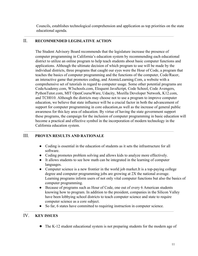Councils, establishes technological comprehension and application as top priorities on the state educational agenda.

# II. **RECOMMENDED LEGISLATIVE ACTION**

The Student Advisory Board recommends that the legislature increase the presence of computer programming in California's education system by recommending each educational district to utilize an online program to help teach students about basic computer functions and applications. Although the ultimate decision of which program to use will be made by the individual districts, three programs that caught our eyes were the Hour of Code, a program that teaches the basics of computer programming and the functions of the computer, Code/Racer, an interactive game that promotes coding, and AtomicLearning.Com, a website with a comprehensive set of tutorials in regard to computer usage. Some other potential programs are CodeAcademy.com, W3schools.com, Eloquent JavaScript, Code School, Code Avengers, PythonTutor.com, MIT OpenCourseWare, Udacity, Mozilla Developer Network, K12.com, and TCH010. Although the districts may choose not to use a program to improve computer education, we believe that state influence will be a crucial factor in both the advancement of support for computer programming in core education,as well as the increase of general public awareness for this key area of education. By virtue of having the state government support these programs, the campaign for the inclusion of computer programming in basic education will become a practical and effective symbol in the incorporation of modern technology in the California education system.

# III. **PROVEN RESULTS AND RATIONALE**

- Coding is essential in the education of students as it sets the infrastructure for all software.
- Coding promotes problem solving and allows kids to analyze more effectively.
- It allows students to see how math can be integrated in the learning of computer languages.
- Computer science is a new frontier in the world job market. It is a top-paying college degree and computer programming jobs are growing at 2X the national average. Learning programs inform users of not only vital computer functions but also the basics of computer programming.
- Because of programs such as Hour of Code, one out of every 6 American students knowing how to program. In addition to the president, companies in the Silicon Valley have been lobbying school districts to teach computer science and state to require computer science as a core subject.
- So far, 6 states have committed to requiring instruction in computer science.

# IV. **KEY ISSUES**

• The K-12 student educational system is not preparing students for the modern age of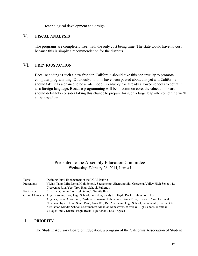technological development and design.

# V. **FISCAL ANALYSIS**

The programs are completely free, with the only cost being time. The state would have no cost because this is simply a recommendation for the districts.

# VI. **PREVIOUS ACTION**

Because coding is such a new frontier, California should take this opportunity to promote computer programming. Obviously, no bills have been passed about this yet and California should take it as a chance to be a role model. Kentucky has already allowed schools to count it as a foreign language. Because programming will be in common core, the education board should definitely consider taking this chance to prepare for such a large leap into something we'll all be tested on.

# Presented to the Assembly Education Committee Wednesday, February 26, 2014, Item #5

| Topic:       | Defining Pupil Engagement in the LCAP Rubric                                                    |
|--------------|-------------------------------------------------------------------------------------------------|
| Presenters:  | Vivian Yang, Mira Loma High School, Sacramento; Zhenrong Shi, Crescenta Valley High School, La  |
|              | Crescenta; Riva Yeo, Troy High School, Fullerton                                                |
| Facilitator: | Esha Lal, Granite Bay High School, Granite Bay                                                  |
|              | Group Members: Angela Sohng, Troy High School, Fullerton; Sandy Hi, Eagle Rock High School, Los |
|              | Angeles; Paige Amormino, Cardinal Newman High School, Santa Rosa; Spencer Coon, Cardinal        |
|              | Newman High School, Santa Rosa; Gina Wu, Rio Americano High School, Sacramento; Siena Getz,     |
|              | Kit Carson Middle School, Sacramento; Nicholas Daneshvari, Westlake High School, Westlake       |
|              | Village; Emily Duarte, Eagle Rock High School, Los Angeles                                      |

### I. **PRIORITY**

The Student Advisory Board on Education, a program of the California Association of Student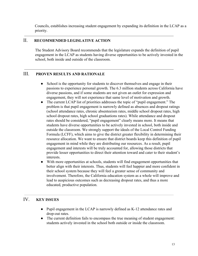Councils, establishes increasing student engagement by expanding its definition in the LCAP as a priority.

# II. **RECOMMENDED LEGISLATIVE ACTION**

The Student Advisory Board recommends that the legislature expands the definition of pupil engagement in the LCAP as students having diverse opportunities to be actively invested in the school, both inside and outside of the classroom.

# III. **PROVEN RESULTS AND RATIONALE**

- School is the opportunity for students to discover themselves and engage in their passions to experience personal growth. The 6.3 million students across California have diverse passions, and if some students are not given an outlet for expression and engagement, they will not experience that same level of motivation and growth.
- The current LCAP list of priorities addresses the topic of "pupil engagement." The problem is that pupil engagement is narrowly defined as absences and dropout ratings (school attendance rates, chronic absenteeism rates, middle school dropout rates, high school dropout rates, high school graduations rates). While attendance and dropout rates should be considered, "pupil engagement" clearly means more. It means that students have diverse opportunities to be actively invested in school, both inside and outside the classroom. We strongly support the ideals of the Local Control Funding Formula (LCFF), which aims to give the district greater flexibility in determining their resource allocation. We want to ensure that district boards keep this definition of pupil engagement in mind while they are distributing our resources. As a result, pupil engagement and interests will be truly accounted for, allowing those districts that provide lesser opportunities to direct their attention toward and cater to their student's interests.
- With more opportunities at schools, students will find engagement opportunities that better align with their interests. Thus, students will feel happier and more confident in their school system because they will feel a greater sense of community and involvement. Therefore, the California education system as a whole will improve and lead to auspicious outcomes such as decreasing dropout rates, and thus a more educated, productive population.

# IV. **KEY ISSUES**

- Pupil engagement in the LCAP is narrowly defined as K-12 attendance rates and drop-out rates.
- The current definition fails to encompass the true meaning of student engagement: students actively invested in the school both outside or inside the classroom.